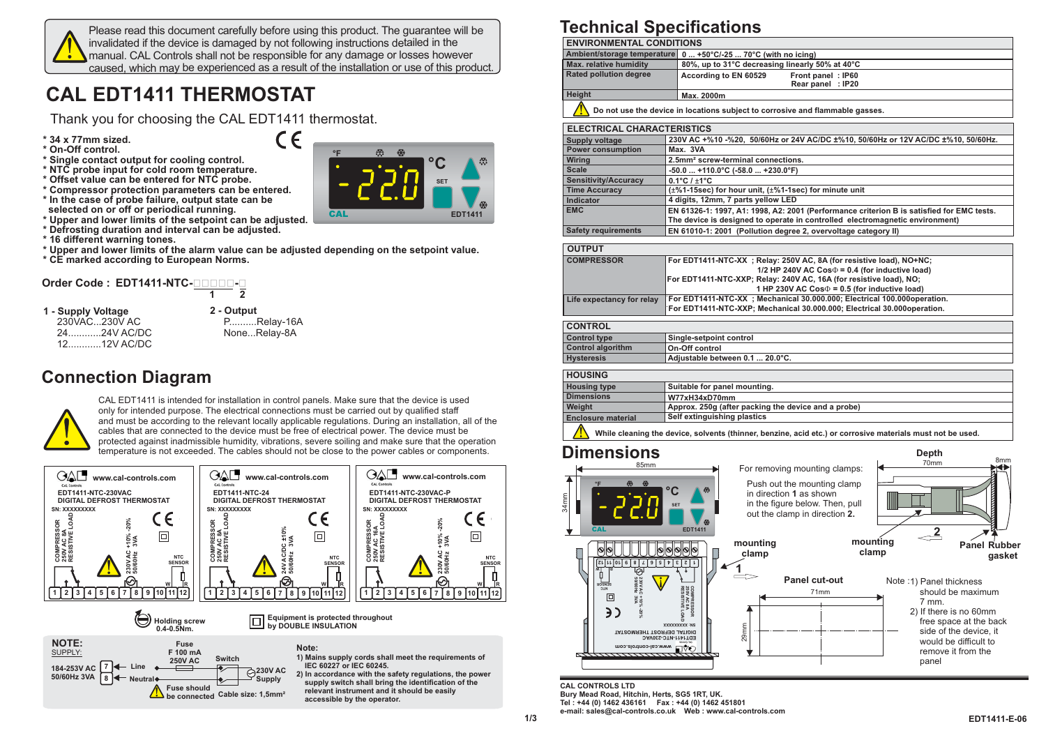

Please read this document carefully before using this product. The guarantee will be invalidated if the device is damaged by not following instructions detailed in the manual. CAL Controls shall not be responsible for any damage or losses however caused, which may be experienced as <sup>a</sup> result of the installation or use of this product.

 $\epsilon$ 

# **CAL EDT1411 THERMOSTAT**

Thank you for choosing the CAL EDT1411 thermostat.

- **\* 34 x 77mm sized.**
- **\* On-Off control.**
- **\* Single contact output for cooling control.**
- **NTC\* probe input for cold room temperature.**
- **NTC\* Offset value can be entered for probe.**
- \* Compressor protection parameters can be entered.<br>\* In the case of probe failure, output state can be **selected on or off or periodical running.**
- **\* Upper and lower limits of the setpoint can be adjusted.**
- **\* Defrosting duration and interval can be adjusted.**
- **\* 16 different warning tones.**
- \* Upper and lower limits of the alarm value can be adjusted depending on the setpoint value.
- **\* CE marked according to European Norms.**

## **Order Code : EDT1411-NTC-------- 1 2**

**1 - Supply Voltage** 230VAC...230V AC 24............24V AC/DC12............12V AC/DC **2 - Output** P..........Relay-16A None...Relay-8A

### **Connection Diagram**



CAL EDT1411 is intended for installation in control panels. Make sure that the device is used only for intended purpose. The electrical connections must be carried out by qualified staff and must be according to the relevant locally applicable regulations. During an installation, all of the cables that are connected to the device must be free of electrical power. The device must be protected against inadmissible humidity, vibrations, severe soiling and make sure that the operation temperature is not exceeded. The cables should not be close to the power cables or components.

CAL

**°F**



**Note:**

**IEC 60227 or IEC 60245.**

**accessible by the operator.**

**1) Mains supply cords shall meet the requirements of**

**°CSET**

**EDT1411**

**2) In accordance with the safety regulations, the power supply switch shall bring the identification of the relevant instrument and it should be easily**



#### **Technical Specifications**

|                                                                                    | <b>ENVIRONMENTAL CONDITIONS</b>                                                                                                                                           |                                                     |                                                                               |                                                                                                            |  |  |  |
|------------------------------------------------------------------------------------|---------------------------------------------------------------------------------------------------------------------------------------------------------------------------|-----------------------------------------------------|-------------------------------------------------------------------------------|------------------------------------------------------------------------------------------------------------|--|--|--|
| Ambient/storage temperature 0  +50°C/-25  70°C (with no icing)                     |                                                                                                                                                                           |                                                     |                                                                               |                                                                                                            |  |  |  |
| Max. relative humidity                                                             |                                                                                                                                                                           |                                                     | 80%, up to 31°C decreasing linearly 50% at 40°C                               |                                                                                                            |  |  |  |
| <b>Rated pollution degree</b>                                                      | According to EN 60529                                                                                                                                                     |                                                     | Front panel: IP60<br>Rear panel : IP20                                        |                                                                                                            |  |  |  |
| Height                                                                             | Max. 2000m                                                                                                                                                                |                                                     |                                                                               |                                                                                                            |  |  |  |
|                                                                                    |                                                                                                                                                                           |                                                     | Do not use the device in locations subject to corrosive and flammable gasses. |                                                                                                            |  |  |  |
| <b>ELECTRICAL CHARACTERISTICS</b>                                                  |                                                                                                                                                                           |                                                     |                                                                               |                                                                                                            |  |  |  |
| <b>Supply voltage</b>                                                              |                                                                                                                                                                           |                                                     |                                                                               | 230V AC +%10 -%20, 50/60Hz or 24V AC/DC ±%10, 50/60Hz or 12V AC/DC ±%10, 50/60Hz.                          |  |  |  |
| <b>Power consumption</b>                                                           | Max. 3VA                                                                                                                                                                  |                                                     |                                                                               |                                                                                                            |  |  |  |
| Wiring                                                                             | 2.5mm <sup>2</sup> screw-terminal connections.                                                                                                                            |                                                     |                                                                               |                                                                                                            |  |  |  |
| <b>Scale</b>                                                                       | -50.0  +110.0°C (-58.0  +230.0°F)                                                                                                                                         |                                                     |                                                                               |                                                                                                            |  |  |  |
| Sensitivity/Accuracy<br><b>Time Accuracy</b>                                       | $0.1^{\circ}$ C / $\pm$ 1 $^{\circ}$ C                                                                                                                                    |                                                     |                                                                               |                                                                                                            |  |  |  |
| Indicator                                                                          | (±%1-15sec) for hour unit, (±%1-1sec) for minute unit<br>4 digits, 12mm, 7 parts yellow LED                                                                               |                                                     |                                                                               |                                                                                                            |  |  |  |
| <b>EMC</b>                                                                         |                                                                                                                                                                           |                                                     |                                                                               |                                                                                                            |  |  |  |
|                                                                                    | EN 61326-1: 1997, A1: 1998, A2: 2001 (Performance criterion B is satisfied for EMC tests.<br>The device is designed to operate in controlled electromagnetic environment) |                                                     |                                                                               |                                                                                                            |  |  |  |
| <b>Safety requirements</b>                                                         |                                                                                                                                                                           |                                                     | EN 61010-1: 2001 (Pollution degree 2, overvoltage category II)                |                                                                                                            |  |  |  |
| <b>OUTPUT</b>                                                                      |                                                                                                                                                                           |                                                     |                                                                               |                                                                                                            |  |  |  |
| <b>COMPRESSOR</b>                                                                  | For EDT1411-NTC-XX ; Relay: 250V AC, 8A (for resistive load), NO+NC;<br>1/2 HP 240V AC $Cos\Phi = 0.4$ (for inductive load)                                               |                                                     |                                                                               |                                                                                                            |  |  |  |
|                                                                                    | For EDT1411-NTC-XXP; Relay: 240V AC, 16A (for resistive load), NO;<br>1 HP 230V AC $Cos\Phi = 0.5$ (for inductive load)                                                   |                                                     |                                                                               |                                                                                                            |  |  |  |
| Life expectancy for relay                                                          |                                                                                                                                                                           |                                                     | For EDT1411-NTC-XX ; Mechanical 30.000.000; Electrical 100.000operation.      |                                                                                                            |  |  |  |
|                                                                                    |                                                                                                                                                                           |                                                     | For EDT1411-NTC-XXP; Mechanical 30.000.000; Electrical 30.000operation.       |                                                                                                            |  |  |  |
| <b>CONTROL</b>                                                                     |                                                                                                                                                                           |                                                     |                                                                               |                                                                                                            |  |  |  |
| <b>Control type</b>                                                                | Single-setpoint control                                                                                                                                                   |                                                     |                                                                               |                                                                                                            |  |  |  |
| <b>Control algorithm</b>                                                           | On-Off control                                                                                                                                                            |                                                     |                                                                               |                                                                                                            |  |  |  |
| <b>Hysteresis</b>                                                                  | Adjustable between 0.1  20.0°C.                                                                                                                                           |                                                     |                                                                               |                                                                                                            |  |  |  |
| <b>HOUSING</b>                                                                     |                                                                                                                                                                           |                                                     |                                                                               |                                                                                                            |  |  |  |
| <b>Housing type</b>                                                                | Suitable for panel mounting.                                                                                                                                              |                                                     |                                                                               |                                                                                                            |  |  |  |
| <b>Dimensions</b>                                                                  | W77xH34xD70mm                                                                                                                                                             |                                                     |                                                                               |                                                                                                            |  |  |  |
|                                                                                    |                                                                                                                                                                           | Approx. 250g (after packing the device and a probe) |                                                                               |                                                                                                            |  |  |  |
| Weight                                                                             |                                                                                                                                                                           |                                                     |                                                                               |                                                                                                            |  |  |  |
| <b>Enclosure material</b>                                                          | Self extinguishing plastics                                                                                                                                               |                                                     |                                                                               |                                                                                                            |  |  |  |
|                                                                                    |                                                                                                                                                                           |                                                     |                                                                               | While cleaning the device, solvents (thinner, benzine, acid etc.) or corrosive materials must not be used. |  |  |  |
|                                                                                    |                                                                                                                                                                           |                                                     |                                                                               | Depth                                                                                                      |  |  |  |
| Dimensions<br>85mm                                                                 |                                                                                                                                                                           |                                                     |                                                                               | 70mm                                                                                                       |  |  |  |
|                                                                                    |                                                                                                                                                                           |                                                     | For removing mounting clamps:                                                 |                                                                                                            |  |  |  |
|                                                                                    |                                                                                                                                                                           |                                                     | Push out the mounting clamp                                                   |                                                                                                            |  |  |  |
|                                                                                    | C                                                                                                                                                                         |                                                     | in direction 1 as shown                                                       |                                                                                                            |  |  |  |
|                                                                                    | <b>SET</b>                                                                                                                                                                |                                                     | in the figure below. Then, pull                                               | ║                                                                                                          |  |  |  |
|                                                                                    |                                                                                                                                                                           |                                                     | out the clamp in direction 2.                                                 |                                                                                                            |  |  |  |
| <b>CAL</b>                                                                         | <b>EDT1411</b>                                                                                                                                                            |                                                     |                                                                               |                                                                                                            |  |  |  |
|                                                                                    |                                                                                                                                                                           |                                                     |                                                                               | 2<br>mounting                                                                                              |  |  |  |
| $\bullet$<br>0                                                                     | o<br>$^{\circ}$<br>$\circ$<br>$\circ$                                                                                                                                     | mounting                                            |                                                                               | clamp                                                                                                      |  |  |  |
| $\boxed{21}$ $\boxed{10}$ $\boxed{6}$ $\boxed{8}$ $\boxed{2}$<br>$\mathsf{S}$<br>9 | $z \mid$<br>S.<br>$\mathbf{L}$                                                                                                                                            | clamp                                               |                                                                               |                                                                                                            |  |  |  |
| Ò                                                                                  |                                                                                                                                                                           | 1                                                   |                                                                               |                                                                                                            |  |  |  |
|                                                                                    |                                                                                                                                                                           |                                                     | <b>Panel cut-out</b>                                                          | Note :1) Panel thickness                                                                                   |  |  |  |
| 230V AC<br>5000Hz<br><b>STNSOR</b>                                                 |                                                                                                                                                                           |                                                     | 71mm                                                                          | should be maximum                                                                                          |  |  |  |
| 34mm<br>回<br>+10%                                                                  |                                                                                                                                                                           |                                                     |                                                                               | 7 mm.                                                                                                      |  |  |  |
| 3)<br>-20%                                                                         | <b>PRESSOR</b><br>AC <sub>8A</sub>                                                                                                                                        |                                                     |                                                                               | 2) If there is no 60mm                                                                                     |  |  |  |
|                                                                                    | <b>ISTIVE LOAD</b><br><b>XXXXXXXXX :NS</b>                                                                                                                                |                                                     |                                                                               |                                                                                                            |  |  |  |
| <b>TAT2OMREHT T2ORFEQ JATIOIO</b>                                                  | EDT1411-NTC-230VAC                                                                                                                                                        |                                                     |                                                                               | side of the device, it                                                                                     |  |  |  |
|                                                                                    |                                                                                                                                                                           | 29mm                                                |                                                                               | 8 <sub>mm</sub><br><b>Panel Rubber</b><br>gasket<br>free space at the back<br>would be difficult to        |  |  |  |
| MOJ. WWW.Gal-controls.com                                                          |                                                                                                                                                                           |                                                     |                                                                               | remove it from the<br>panel                                                                                |  |  |  |

**CAL CONTROLS LTD Bury Mead Road, Hitchin, Herts, SG5 1RT, UK. Tel : +44 (0) 1462 436161 Fax : +44 (0) 1462 451801**

**1/3**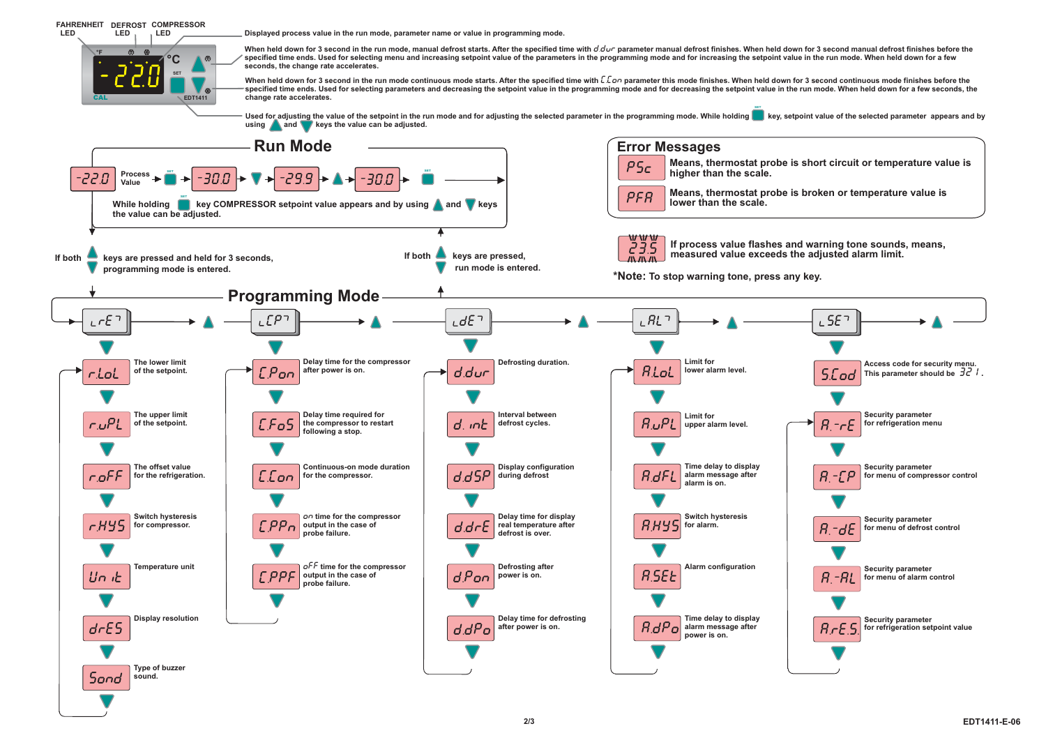

**Type of buzzer sound.**

**SonD**